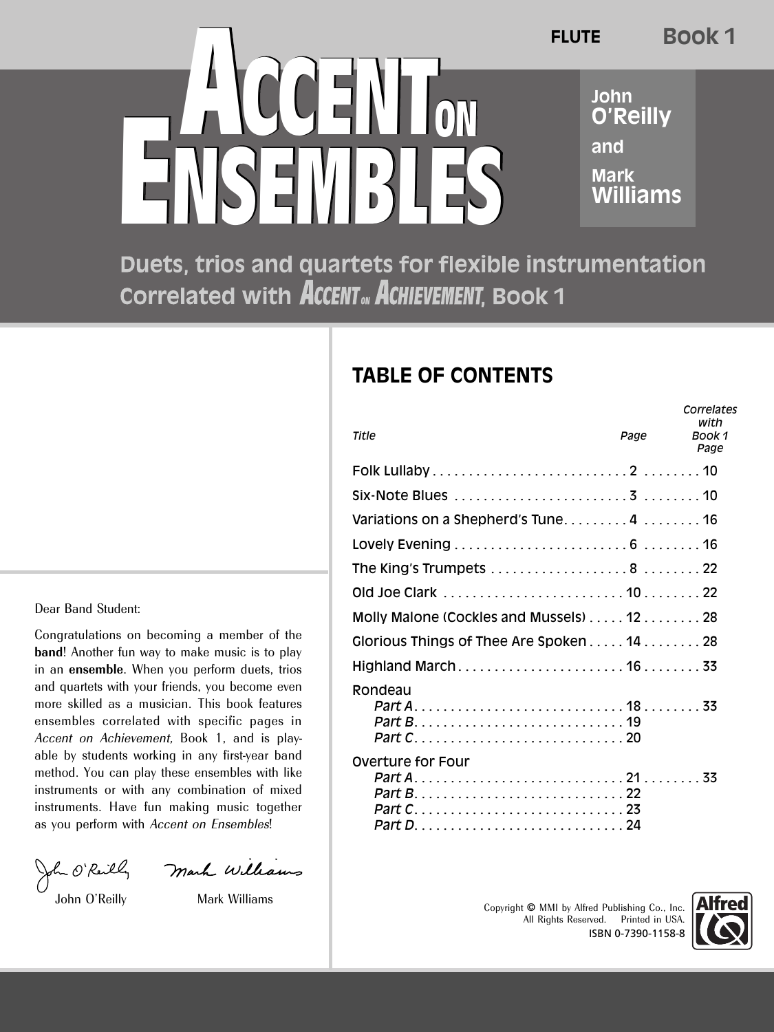**ENSEMBLES ACCENTON ENSEMBLES** FLUTE **O'Reilly and Mark Williams FLUTE Book 1**

Duets, trios and quartets for flexible instrumentation Correlated with ACCENT<sub>ov</sub> ACHIEVEMENT, Book 1

## **TABLE OF CONTENTS**

| Title                                    | Page | Correlates<br>with<br>Book 1<br>Page |
|------------------------------------------|------|--------------------------------------|
|                                          |      |                                      |
|                                          |      |                                      |
| Variations on a Shepherd's Tune4 16      |      |                                      |
|                                          |      |                                      |
| The King's Trumpets 8 22                 |      |                                      |
|                                          |      |                                      |
| Molly Malone (Cockles and Mussels) 12 28 |      |                                      |
| Glorious Things of Thee Are Spoken 14 28 |      |                                      |
|                                          |      |                                      |
| Rondeau                                  |      |                                      |
|                                          |      |                                      |
|                                          |      |                                      |
|                                          |      |                                      |
| Overture for Four                        |      |                                      |
|                                          |      |                                      |
|                                          |      |                                      |
|                                          |      |                                      |
|                                          |      |                                      |

All Rights Reserved. Printed in USA. ISBN 0-7390-1158-8



Dear Band Student:

Congratulations on becoming a member of the **band**! Another fun way to make music is to play in an **ensemble**. When you perform duets, trios and quartets with your friends, you become even more skilled as a musician. This book features ensembles correlated with specific pages in Accent on Achievement, Book 1, and is playable by students working in any first-year band method. You can play these ensembles with like instruments or with any combination of mixed instruments. Have fun making music together as you perform with Accent on Ensembles!

John O'Reilly Mark Williams<br>John O'Reilly Mark Williams Copyright © MMI by Alfred Publishing Co., Inc.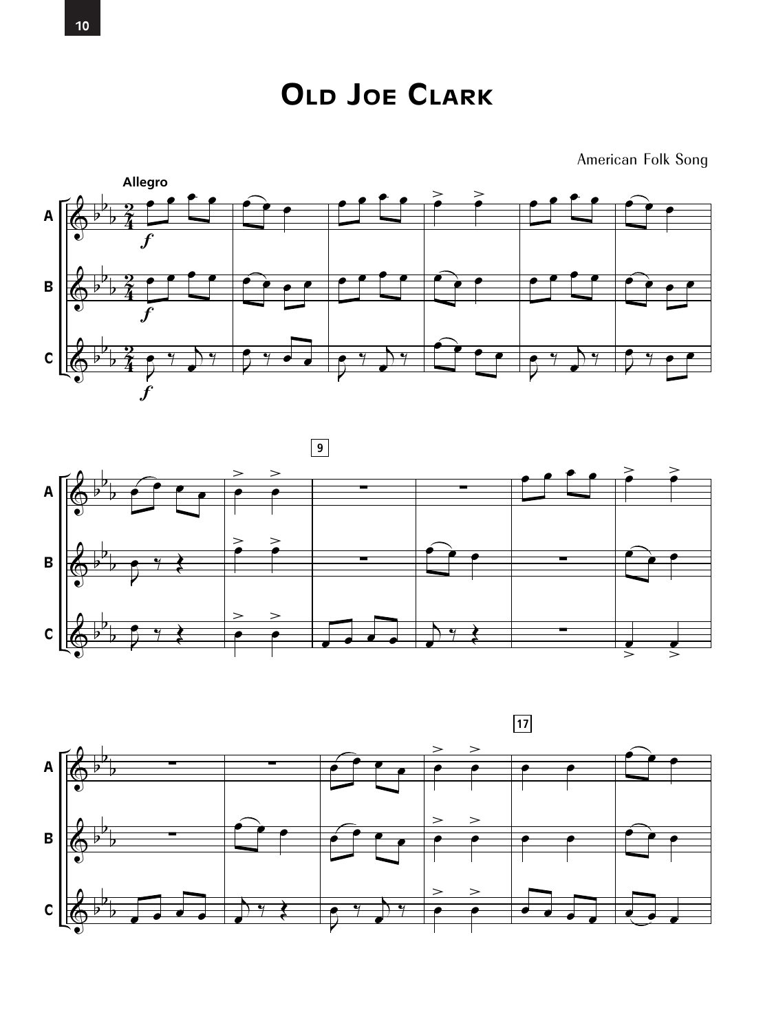

American Folk Song